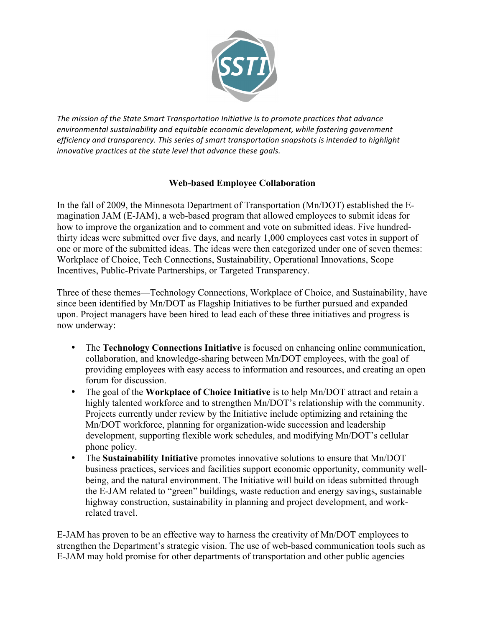

The mission of the State Smart Transportation Initiative is to promote practices that advance environmental sustainability and equitable economic development, while fostering government efficiency and transparency. This series of smart transportation snapshots is intended to highlight innovative practices at the state level that advance these goals.

## **Web-based Employee Collaboration**

In the fall of 2009, the Minnesota Department of Transportation (Mn/DOT) established the Emagination JAM (E-JAM), a web-based program that allowed employees to submit ideas for how to improve the organization and to comment and vote on submitted ideas. Five hundredthirty ideas were submitted over five days, and nearly 1,000 employees cast votes in support of one or more of the submitted ideas. The ideas were then categorized under one of seven themes: Workplace of Choice, Tech Connections, Sustainability, Operational Innovations, Scope Incentives, Public-Private Partnerships, or Targeted Transparency.

Three of these themes—Technology Connections, Workplace of Choice, and Sustainability, have since been identified by Mn/DOT as Flagship Initiatives to be further pursued and expanded upon. Project managers have been hired to lead each of these three initiatives and progress is now underway:

- The **Technology Connections Initiative** is focused on enhancing online communication, collaboration, and knowledge-sharing between Mn/DOT employees, with the goal of providing employees with easy access to information and resources, and creating an open forum for discussion.
- The goal of the **Workplace of Choice Initiative** is to help Mn/DOT attract and retain a highly talented workforce and to strengthen Mn/DOT's relationship with the community. Projects currently under review by the Initiative include optimizing and retaining the Mn/DOT workforce, planning for organization-wide succession and leadership development, supporting flexible work schedules, and modifying Mn/DOT's cellular phone policy.
- The **Sustainability Initiative** promotes innovative solutions to ensure that Mn/DOT business practices, services and facilities support economic opportunity, community wellbeing, and the natural environment. The Initiative will build on ideas submitted through the E-JAM related to "green" buildings, waste reduction and energy savings, sustainable highway construction, sustainability in planning and project development, and workrelated travel.

E-JAM has proven to be an effective way to harness the creativity of Mn/DOT employees to strengthen the Department's strategic vision. The use of web-based communication tools such as E-JAM may hold promise for other departments of transportation and other public agencies